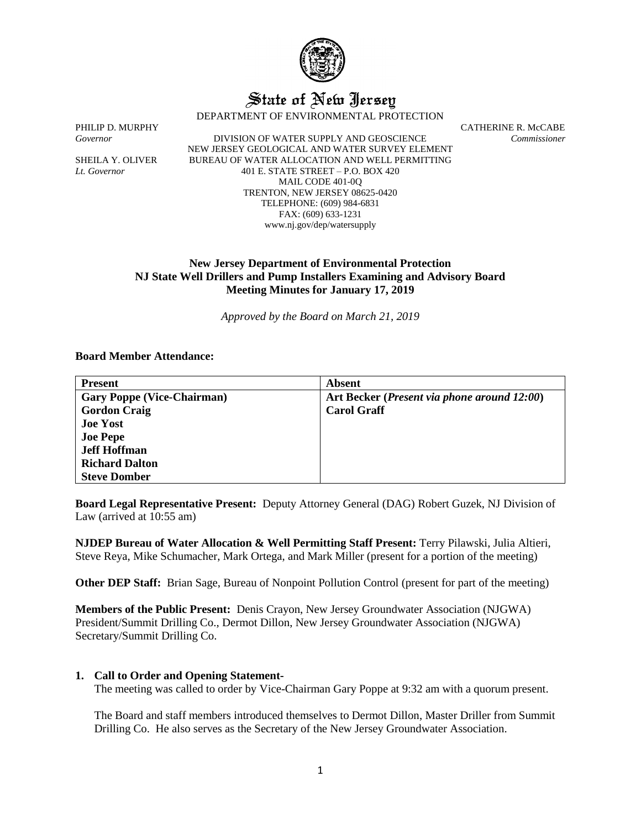

# State of New Jersey

DEPARTMENT OF ENVIRONMENTAL PROTECTION

*Governor* DIVISION OF WATER SUPPLY AND GEOSCIENCE *Commissioner* NEW JERSEY GEOLOGICAL AND WATER SURVEY ELEMENT SHEILA Y. OLIVER BUREAU OF WATER ALLOCATION AND WELL PERMITTING *Lt. Governor* 401 E. STATE STREET – P.O. BOX 420 MAIL CODE 401-0Q TRENTON, NEW JERSEY 08625-0420 TELEPHONE: (609) 984-6831 FAX: (609) 633-1231 www.nj.gov/dep/watersupply

PHILIP D. MURPHY CATHERINE R. McCABE

# **New Jersey Department of Environmental Protection NJ State Well Drillers and Pump Installers Examining and Advisory Board Meeting Minutes for January 17, 2019**

*Approved by the Board on March 21, 2019*

#### **Board Member Attendance:**

| <b>Present</b>                    | Absent                                               |
|-----------------------------------|------------------------------------------------------|
| <b>Gary Poppe (Vice-Chairman)</b> | Art Becker ( <i>Present via phone around 12:00</i> ) |
| <b>Gordon Craig</b>               | <b>Carol Graff</b>                                   |
| <b>Joe Yost</b>                   |                                                      |
| <b>Joe Pepe</b>                   |                                                      |
| <b>Jeff Hoffman</b>               |                                                      |
| <b>Richard Dalton</b>             |                                                      |
| <b>Steve Domber</b>               |                                                      |

**Board Legal Representative Present:** Deputy Attorney General (DAG) Robert Guzek, NJ Division of Law (arrived at 10:55 am)

**NJDEP Bureau of Water Allocation & Well Permitting Staff Present:** Terry Pilawski, Julia Altieri, Steve Reya, Mike Schumacher, Mark Ortega, and Mark Miller (present for a portion of the meeting)

**Other DEP Staff:** Brian Sage, Bureau of Nonpoint Pollution Control (present for part of the meeting)

**Members of the Public Present:** Denis Crayon, New Jersey Groundwater Association (NJGWA) President/Summit Drilling Co., Dermot Dillon, New Jersey Groundwater Association (NJGWA) Secretary/Summit Drilling Co.

#### **1. Call to Order and Opening Statement-**

The meeting was called to order by Vice-Chairman Gary Poppe at 9:32 am with a quorum present.

The Board and staff members introduced themselves to Dermot Dillon, Master Driller from Summit Drilling Co. He also serves as the Secretary of the New Jersey Groundwater Association.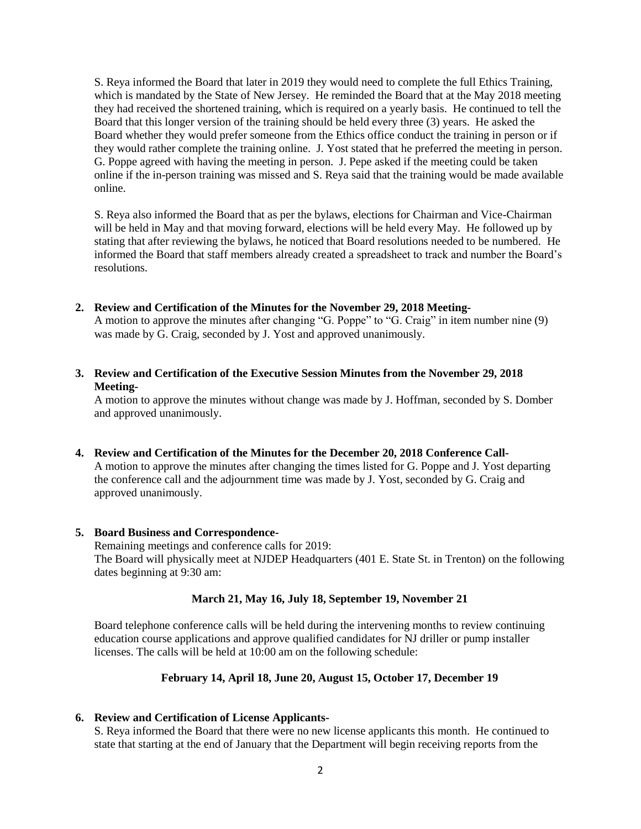S. Reya informed the Board that later in 2019 they would need to complete the full Ethics Training, which is mandated by the State of New Jersey. He reminded the Board that at the May 2018 meeting they had received the shortened training, which is required on a yearly basis. He continued to tell the Board that this longer version of the training should be held every three (3) years. He asked the Board whether they would prefer someone from the Ethics office conduct the training in person or if they would rather complete the training online. J. Yost stated that he preferred the meeting in person. G. Poppe agreed with having the meeting in person. J. Pepe asked if the meeting could be taken online if the in-person training was missed and S. Reya said that the training would be made available online.

S. Reya also informed the Board that as per the bylaws, elections for Chairman and Vice-Chairman will be held in May and that moving forward, elections will be held every May. He followed up by stating that after reviewing the bylaws, he noticed that Board resolutions needed to be numbered. He informed the Board that staff members already created a spreadsheet to track and number the Board's resolutions.

**2. Review and Certification of the Minutes for the November 29, 2018 Meeting-**

A motion to approve the minutes after changing "G. Poppe" to "G. Craig" in item number nine (9) was made by G. Craig, seconded by J. Yost and approved unanimously.

**3. Review and Certification of the Executive Session Minutes from the November 29, 2018 Meeting-**

A motion to approve the minutes without change was made by J. Hoffman, seconded by S. Domber and approved unanimously.

**4. Review and Certification of the Minutes for the December 20, 2018 Conference Call-**

A motion to approve the minutes after changing the times listed for G. Poppe and J. Yost departing the conference call and the adjournment time was made by J. Yost, seconded by G. Craig and approved unanimously.

#### **5. Board Business and Correspondence-**

Remaining meetings and conference calls for 2019: The Board will physically meet at NJDEP Headquarters (401 E. State St. in Trenton) on the following dates beginning at 9:30 am:

## **March 21, May 16, July 18, September 19, November 21**

Board telephone conference calls will be held during the intervening months to review continuing education course applications and approve qualified candidates for NJ driller or pump installer licenses. The calls will be held at 10:00 am on the following schedule:

#### **February 14, April 18, June 20, August 15, October 17, December 19**

#### **6. Review and Certification of License Applicants-**

S. Reya informed the Board that there were no new license applicants this month. He continued to state that starting at the end of January that the Department will begin receiving reports from the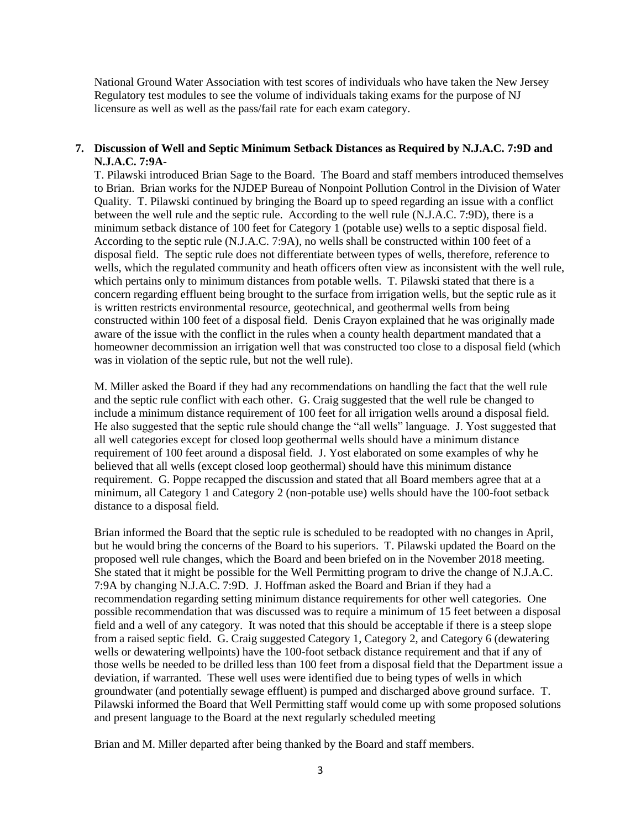National Ground Water Association with test scores of individuals who have taken the New Jersey Regulatory test modules to see the volume of individuals taking exams for the purpose of NJ licensure as well as well as the pass/fail rate for each exam category.

### **7. Discussion of Well and Septic Minimum Setback Distances as Required by N.J.A.C. 7:9D and N.J.A.C. 7:9A-**

T. Pilawski introduced Brian Sage to the Board. The Board and staff members introduced themselves to Brian. Brian works for the NJDEP Bureau of Nonpoint Pollution Control in the Division of Water Quality. T. Pilawski continued by bringing the Board up to speed regarding an issue with a conflict between the well rule and the septic rule. According to the well rule (N.J.A.C. 7:9D), there is a minimum setback distance of 100 feet for Category 1 (potable use) wells to a septic disposal field. According to the septic rule (N.J.A.C. 7:9A), no wells shall be constructed within 100 feet of a disposal field. The septic rule does not differentiate between types of wells, therefore, reference to wells, which the regulated community and heath officers often view as inconsistent with the well rule, which pertains only to minimum distances from potable wells. T. Pilawski stated that there is a concern regarding effluent being brought to the surface from irrigation wells, but the septic rule as it is written restricts environmental resource, geotechnical, and geothermal wells from being constructed within 100 feet of a disposal field. Denis Crayon explained that he was originally made aware of the issue with the conflict in the rules when a county health department mandated that a homeowner decommission an irrigation well that was constructed too close to a disposal field (which was in violation of the septic rule, but not the well rule).

M. Miller asked the Board if they had any recommendations on handling the fact that the well rule and the septic rule conflict with each other. G. Craig suggested that the well rule be changed to include a minimum distance requirement of 100 feet for all irrigation wells around a disposal field. He also suggested that the septic rule should change the "all wells" language. J. Yost suggested that all well categories except for closed loop geothermal wells should have a minimum distance requirement of 100 feet around a disposal field. J. Yost elaborated on some examples of why he believed that all wells (except closed loop geothermal) should have this minimum distance requirement. G. Poppe recapped the discussion and stated that all Board members agree that at a minimum, all Category 1 and Category 2 (non-potable use) wells should have the 100-foot setback distance to a disposal field.

Brian informed the Board that the septic rule is scheduled to be readopted with no changes in April, but he would bring the concerns of the Board to his superiors. T. Pilawski updated the Board on the proposed well rule changes, which the Board and been briefed on in the November 2018 meeting. She stated that it might be possible for the Well Permitting program to drive the change of N.J.A.C. 7:9A by changing N.J.A.C. 7:9D. J. Hoffman asked the Board and Brian if they had a recommendation regarding setting minimum distance requirements for other well categories. One possible recommendation that was discussed was to require a minimum of 15 feet between a disposal field and a well of any category. It was noted that this should be acceptable if there is a steep slope from a raised septic field. G. Craig suggested Category 1, Category 2, and Category 6 (dewatering wells or dewatering wellpoints) have the 100-foot setback distance requirement and that if any of those wells be needed to be drilled less than 100 feet from a disposal field that the Department issue a deviation, if warranted. These well uses were identified due to being types of wells in which groundwater (and potentially sewage effluent) is pumped and discharged above ground surface. T. Pilawski informed the Board that Well Permitting staff would come up with some proposed solutions and present language to the Board at the next regularly scheduled meeting

Brian and M. Miller departed after being thanked by the Board and staff members.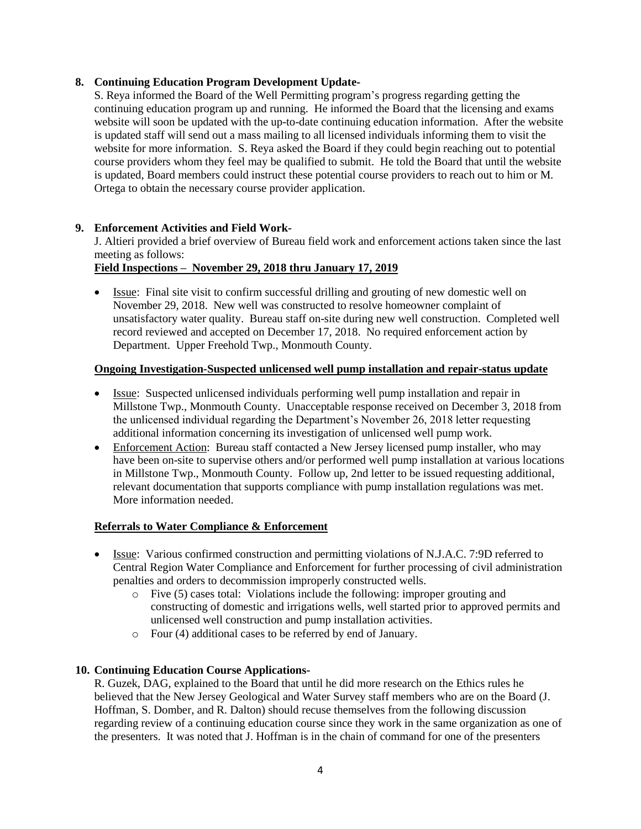# **8. Continuing Education Program Development Update-**

S. Reya informed the Board of the Well Permitting program's progress regarding getting the continuing education program up and running. He informed the Board that the licensing and exams website will soon be updated with the up-to-date continuing education information. After the website is updated staff will send out a mass mailing to all licensed individuals informing them to visit the website for more information. S. Reya asked the Board if they could begin reaching out to potential course providers whom they feel may be qualified to submit. He told the Board that until the website is updated, Board members could instruct these potential course providers to reach out to him or M. Ortega to obtain the necessary course provider application.

# **9. Enforcement Activities and Field Work-**

J. Altieri provided a brief overview of Bureau field work and enforcement actions taken since the last meeting as follows:

# **Field Inspections – November 29, 2018 thru January 17, 2019**

• Issue: Final site visit to confirm successful drilling and grouting of new domestic well on November 29, 2018. New well was constructed to resolve homeowner complaint of unsatisfactory water quality. Bureau staff on-site during new well construction. Completed well record reviewed and accepted on December 17, 2018. No required enforcement action by Department. Upper Freehold Twp., Monmouth County.

## **Ongoing Investigation-Suspected unlicensed well pump installation and repair-status update**

- Issue: Suspected unlicensed individuals performing well pump installation and repair in Millstone Twp., Monmouth County. Unacceptable response received on December 3, 2018 from the unlicensed individual regarding the Department's November 26, 2018 letter requesting additional information concerning its investigation of unlicensed well pump work.
- Enforcement Action: Bureau staff contacted a New Jersey licensed pump installer, who may have been on-site to supervise others and/or performed well pump installation at various locations in Millstone Twp., Monmouth County. Follow up, 2nd letter to be issued requesting additional, relevant documentation that supports compliance with pump installation regulations was met. More information needed.

# **Referrals to Water Compliance & Enforcement**

- Issue: Various confirmed construction and permitting violations of N.J.A.C. 7:9D referred to Central Region Water Compliance and Enforcement for further processing of civil administration penalties and orders to decommission improperly constructed wells.
	- o Five (5) cases total: Violations include the following: improper grouting and constructing of domestic and irrigations wells, well started prior to approved permits and unlicensed well construction and pump installation activities.
	- o Four (4) additional cases to be referred by end of January.

## **10. Continuing Education Course Applications-**

R. Guzek, DAG, explained to the Board that until he did more research on the Ethics rules he believed that the New Jersey Geological and Water Survey staff members who are on the Board (J. Hoffman, S. Domber, and R. Dalton) should recuse themselves from the following discussion regarding review of a continuing education course since they work in the same organization as one of the presenters. It was noted that J. Hoffman is in the chain of command for one of the presenters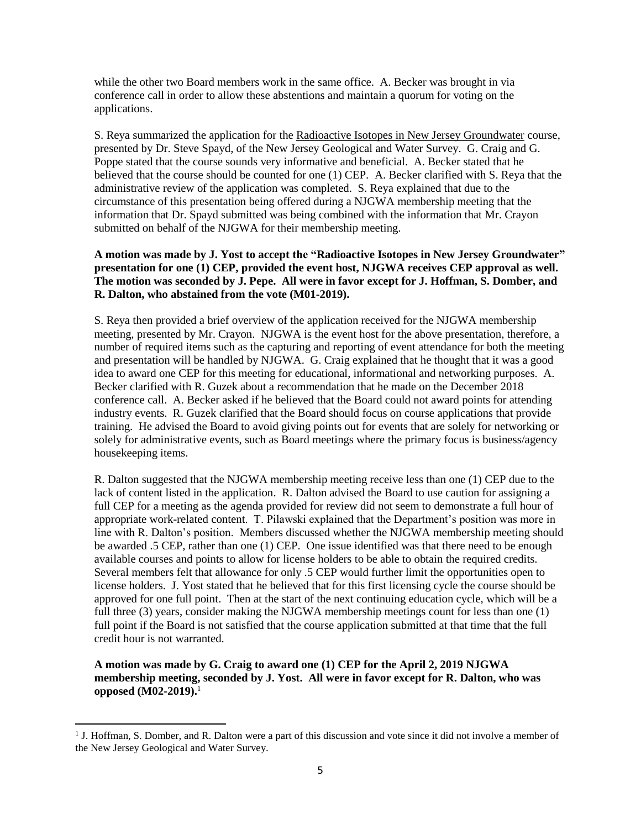while the other two Board members work in the same office. A. Becker was brought in via conference call in order to allow these abstentions and maintain a quorum for voting on the applications.

S. Reya summarized the application for the Radioactive Isotopes in New Jersey Groundwater course, presented by Dr. Steve Spayd, of the New Jersey Geological and Water Survey. G. Craig and G. Poppe stated that the course sounds very informative and beneficial. A. Becker stated that he believed that the course should be counted for one (1) CEP. A. Becker clarified with S. Reya that the administrative review of the application was completed. S. Reya explained that due to the circumstance of this presentation being offered during a NJGWA membership meeting that the information that Dr. Spayd submitted was being combined with the information that Mr. Crayon submitted on behalf of the NJGWA for their membership meeting.

# **A motion was made by J. Yost to accept the "Radioactive Isotopes in New Jersey Groundwater" presentation for one (1) CEP, provided the event host, NJGWA receives CEP approval as well. The motion was seconded by J. Pepe. All were in favor except for J. Hoffman, S. Domber, and R. Dalton, who abstained from the vote (M01-2019).**

S. Reya then provided a brief overview of the application received for the NJGWA membership meeting, presented by Mr. Crayon. NJGWA is the event host for the above presentation, therefore, a number of required items such as the capturing and reporting of event attendance for both the meeting and presentation will be handled by NJGWA. G. Craig explained that he thought that it was a good idea to award one CEP for this meeting for educational, informational and networking purposes. A. Becker clarified with R. Guzek about a recommendation that he made on the December 2018 conference call. A. Becker asked if he believed that the Board could not award points for attending industry events. R. Guzek clarified that the Board should focus on course applications that provide training. He advised the Board to avoid giving points out for events that are solely for networking or solely for administrative events, such as Board meetings where the primary focus is business/agency housekeeping items.

R. Dalton suggested that the NJGWA membership meeting receive less than one (1) CEP due to the lack of content listed in the application. R. Dalton advised the Board to use caution for assigning a full CEP for a meeting as the agenda provided for review did not seem to demonstrate a full hour of appropriate work-related content. T. Pilawski explained that the Department's position was more in line with R. Dalton's position. Members discussed whether the NJGWA membership meeting should be awarded .5 CEP, rather than one (1) CEP. One issue identified was that there need to be enough available courses and points to allow for license holders to be able to obtain the required credits. Several members felt that allowance for only .5 CEP would further limit the opportunities open to license holders. J. Yost stated that he believed that for this first licensing cycle the course should be approved for one full point. Then at the start of the next continuing education cycle, which will be a full three (3) years, consider making the NJGWA membership meetings count for less than one (1) full point if the Board is not satisfied that the course application submitted at that time that the full credit hour is not warranted.

**A motion was made by G. Craig to award one (1) CEP for the April 2, 2019 NJGWA membership meeting, seconded by J. Yost. All were in favor except for R. Dalton, who was opposed (M02-2019).** 1

 $\overline{a}$ 

<sup>&</sup>lt;sup>1</sup> J. Hoffman, S. Domber, and R. Dalton were a part of this discussion and vote since it did not involve a member of the New Jersey Geological and Water Survey.